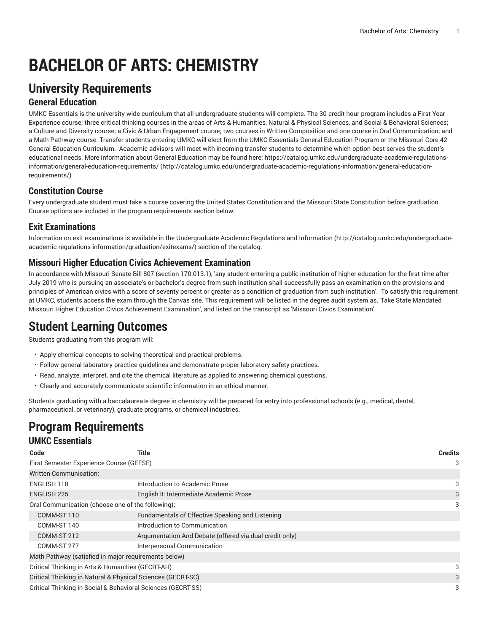# **BACHELOR OF ARTS: CHEMISTRY**

# **University Requirements**

#### **General Education**

UMKC Essentials is the university-wide curriculum that all undergraduate students will complete. The 30-credit hour program includes a First Year Experience course; three critical thinking courses in the areas of Arts & Humanities, Natural & Physical Sciences, and Social & Behavioral Sciences; a Culture and Diversity course; a Civic & Urban Engagement course; two courses in Written Composition and one course in Oral Communication; and a Math Pathway course. Transfer students entering UMKC will elect from the UMKC Essentials General Education Program or the Missouri Core 42 General Education Curriculum. Academic advisors will meet with incoming transfer students to determine which option best serves the student's educational needs. More information about General Education may be found here: [https://catalog.umkc.edu/undergraduate-academic-regulations](http://catalog.umkc.edu/undergraduate-academic-regulations-information/general-education-requirements/)[information/general-education-requirements/](http://catalog.umkc.edu/undergraduate-academic-regulations-information/general-education-requirements/) ([http://catalog.umkc.edu/undergraduate-academic-regulations-information/general-education](http://catalog.umkc.edu/undergraduate-academic-regulations-information/general-education-requirements/)[requirements/\)](http://catalog.umkc.edu/undergraduate-academic-regulations-information/general-education-requirements/)

#### **Constitution Course**

Every undergraduate student must take a course covering the United States Constitution and the Missouri State Constitution before graduation. Course options are included in the program requirements section below.

#### **Exit Examinations**

Information on exit examinations is available in the [Undergraduate](http://catalog.umkc.edu/undergraduate-academic-regulations-information/graduation/exitexams/) Academic Regulations and Information [\(http://catalog.umkc.edu/undergraduate](http://catalog.umkc.edu/undergraduate-academic-regulations-information/graduation/exitexams/)[academic-regulations-information/graduation/exitexams/](http://catalog.umkc.edu/undergraduate-academic-regulations-information/graduation/exitexams/)) section of the catalog.

#### **Missouri Higher Education Civics Achievement Examination**

In accordance with Missouri Senate Bill 807 (section 170.013.1), 'any student entering a public institution of higher education for the first time after July 2019 who is pursuing an associate's or bachelor's degree from such institution shall successfully pass an examination on the provisions and principles of American civics with a score of seventy percent or greater as a condition of graduation from such institution'. To satisfy this requirement at UMKC, students access the exam through the Canvas site. This requirement will be listed in the degree audit system as, 'Take State Mandated Missouri Higher Education Civics Achievement Examination', and listed on the transcript as 'Missouri Civics Examination'.

# **Student Learning Outcomes**

Students graduating from this program will:

- Apply chemical concepts to solving theoretical and practical problems.
- Follow general laboratory practice guidelines and demonstrate proper laboratory safety practices.
- Read, analyze, interpret, and cite the chemical literature as applied to answering chemical questions.
- Clearly and accurately communicate scientific information in an ethical manner.

Students graduating with a baccalaureate degree in chemistry will be prepared for entry into professional schools (e.g., medical, dental, pharmaceutical, or veterinary), graduate programs, or chemical industries.

#### **Program Requirements UMKC Essentials**

| Code                                              | Title                                                        | <b>Credits</b> |
|---------------------------------------------------|--------------------------------------------------------------|----------------|
| First Semester Experience Course (GEFSE)          |                                                              | 3              |
| <b>Written Communication:</b>                     |                                                              |                |
| ENGLISH 110                                       | Introduction to Academic Prose                               | 3              |
| <b>ENGLISH 225</b>                                | English II: Intermediate Academic Prose                      | 3              |
| Oral Communication (choose one of the following): |                                                              | 3              |
| COMM-ST 110                                       | Fundamentals of Effective Speaking and Listening             |                |
| COMM-ST 140                                       | Introduction to Communication                                |                |
| COMM-ST 212                                       | Argumentation And Debate (offered via dual credit only)      |                |
| COMM-ST 277                                       | Interpersonal Communication                                  |                |
|                                                   | Math Pathway (satisfied in major requirements below)         |                |
| Critical Thinking in Arts & Humanities (GECRT-AH) |                                                              | 3              |
|                                                   | Critical Thinking in Natural & Physical Sciences (GECRT-SC)  | 3              |
|                                                   | Critical Thinking in Social & Behavioral Sciences (GECRT-SS) | 3              |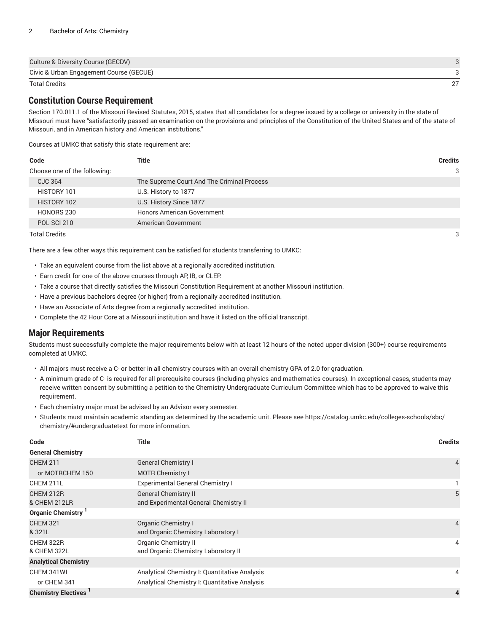| Culture & Diversity Course (GECDV)      |  |
|-----------------------------------------|--|
| Civic & Urban Engagement Course (GECUE) |  |
| <b>Total Credits</b>                    |  |

### **Constitution Course Requirement**

Section 170.011.1 of the Missouri Revised Statutes, 2015, states that all candidates for a degree issued by a college or university in the state of Missouri must have "satisfactorily passed an examination on the provisions and principles of the Constitution of the United States and of the state of Missouri, and in American history and American institutions."

Courses at UMKC that satisfy this state requirement are:

| Code                         | Title                                      | <b>Credits</b> |
|------------------------------|--------------------------------------------|----------------|
| Choose one of the following: |                                            | 3              |
| CJC 364                      | The Supreme Court And The Criminal Process |                |
| HISTORY 101                  | U.S. History to 1877                       |                |
| HISTORY 102                  | U.S. History Since 1877                    |                |
| HONORS 230                   | <b>Honors American Government</b>          |                |
| POL-SCI 210                  | American Government                        |                |
| <b>Total Credits</b>         |                                            | 3              |

There are a few other ways this requirement can be satisfied for students transferring to UMKC:

- Take an equivalent course from the list above at a regionally accredited institution.
- Earn credit for one of the above courses through AP, IB, or CLEP.
- Take a course that directly satisfies the Missouri Constitution Requirement at another Missouri institution.
- Have a previous bachelors degree (or higher) from a regionally accredited institution.
- Have an Associate of Arts degree from a regionally accredited institution.
- Complete the 42 Hour Core at a Missouri institution and have it listed on the official transcript.

#### **Major Requirements**

Students must successfully complete the major requirements below with at least 12 hours of the noted upper division (300+) course requirements completed at UMKC.

- All majors must receive a C- or better in all chemistry courses with an overall chemistry GPA of 2.0 for graduation.
- A minimum grade of C- is required for all prerequisite courses (including physics and mathematics courses). In exceptional cases, students may receive written consent by submitting a petition to the Chemistry Undergraduate Curriculum Committee which has to be approved to waive this requirement.
- Each chemistry major must be advised by an Advisor every semester.
- Students must maintain academic standing as determined by the academic unit. Please see [https://catalog.umkc.edu/colleges-schools/sbc/](https://catalog.umkc.edu/colleges-schools/sbc/chemistry/#undergraduatetext) [chemistry/#undergraduatetext](https://catalog.umkc.edu/colleges-schools/sbc/chemistry/#undergraduatetext) for more information.

| Code                        | <b>Title</b>                                                         | <b>Credits</b> |
|-----------------------------|----------------------------------------------------------------------|----------------|
| <b>General Chemistry</b>    |                                                                      |                |
| <b>CHEM 211</b>             | <b>General Chemistry I</b>                                           | $\overline{4}$ |
| or MOTRCHEM 150             | <b>MOTR Chemistry I</b>                                              |                |
| CHEM 211L                   | <b>Experimental General Chemistry I</b>                              |                |
| CHEM 212R<br>& CHEM 212LR   | <b>General Chemistry II</b><br>and Experimental General Chemistry II | 5              |
| Organic Chemistry           |                                                                      |                |
| <b>CHEM 321</b><br>& 321L   | Organic Chemistry I<br>and Organic Chemistry Laboratory I            | $\overline{4}$ |
| CHEM 322R<br>& CHEM 322L    | <b>Organic Chemistry II</b><br>and Organic Chemistry Laboratory II   | 4              |
| <b>Analytical Chemistry</b> |                                                                      |                |
| CHEM 341WI                  | Analytical Chemistry I: Quantitative Analysis                        | 4              |
| or CHEM 341                 | Analytical Chemistry I: Quantitative Analysis                        |                |
| <b>Chemistry Electives</b>  |                                                                      | 4              |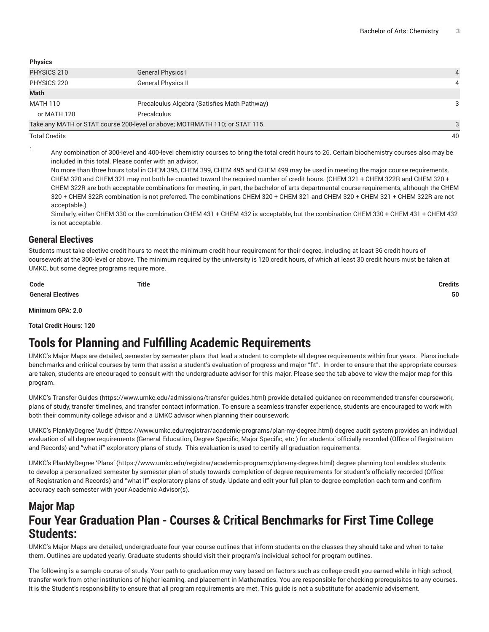| <b>Physics</b> |                                                                             |  |
|----------------|-----------------------------------------------------------------------------|--|
| PHYSICS 210    | <b>General Physics I</b>                                                    |  |
| PHYSICS 220    | <b>General Physics II</b>                                                   |  |
| Math           |                                                                             |  |
| MATH 110       | Precalculus Algebra (Satisfies Math Pathway)                                |  |
| or MATH 120    | Precalculus                                                                 |  |
|                | Take any MATH or STAT course 200-level or above; MOTRMATH 110; or STAT 115. |  |

Total Credits 40

1

Any combination of 300-level and 400-level chemistry courses to bring the total credit hours to 26. Certain biochemistry courses also may be included in this total. Please confer with an advisor.

No more than three hours total in CHEM 395, CHEM 399, CHEM 495 and CHEM 499 may be used in meeting the major course requirements. CHEM 320 and CHEM 321 may not both be counted toward the required number of credit hours. (CHEM 321 + CHEM 322R and CHEM 320 + CHEM 322R are both acceptable combinations for meeting, in part, the bachelor of arts departmental course requirements, although the CHEM 320 + CHEM 322R combination is not preferred. The combinations CHEM 320 + CHEM 321 and CHEM 320 + CHEM 321 + CHEM 322R are not acceptable.)

Similarly, either CHEM 330 or the combination CHEM 431 + CHEM 432 is acceptable, but the combination CHEM 330 + CHEM 431 + CHEM 432 is not acceptable.

#### **General Electives**

Students must take elective credit hours to meet the minimum credit hour requirement for their degree, including at least 36 credit hours of coursework at the 300-level or above. The minimum required by the university is 120 credit hours, of which at least 30 credit hours must be taken at UMKC, but some degree programs require more.

**Code Title Credits**

**General Electives 50**

**Minimum GPA: 2.0**

**Total Credit Hours: 120**

# **Tools for Planning and Fulfilling Academic Requirements**

UMKC's Major Maps are detailed, semester by semester plans that lead a student to complete all degree requirements within four years. Plans include benchmarks and critical courses by term that assist a student's evaluation of progress and major "fit". In order to ensure that the appropriate courses are taken, students are encouraged to consult with the undergraduate advisor for this major. Please see the tab above to view the major map for this program.

UMKC's [Transfer](https://www.umkc.edu/admissions/transfer-guides.html) Guides [\(https://www.umkc.edu/admissions/transfer-guides.html](https://www.umkc.edu/admissions/transfer-guides.html)) provide detailed guidance on recommended transfer coursework, plans of study, transfer timelines, and transfer contact information. To ensure a seamless transfer experience, students are encouraged to work with both their community college advisor and a UMKC advisor when planning their coursework.

UMKC's [PlanMyDegree](https://www.umkc.edu/registrar/academic-programs/plan-my-degree.html) 'Audit' ([https://www.umkc.edu/registrar/academic-programs/plan-my-degree.html\)](https://www.umkc.edu/registrar/academic-programs/plan-my-degree.html) degree audit system provides an individual evaluation of all degree requirements (General Education, Degree Specific, Major Specific, etc.) for students' officially recorded (Office of Registration and Records) and "what if" exploratory plans of study. This evaluation is used to certify all graduation requirements.

UMKC's [PlanMyDegree](https://www.umkc.edu/registrar/academic-programs/plan-my-degree.html) 'Plans' [\(https://www.umkc.edu/registrar/academic-programs/plan-my-degree.html\)](https://www.umkc.edu/registrar/academic-programs/plan-my-degree.html) degree planning tool enables students to develop a personalized semester by semester plan of study towards completion of degree requirements for student's officially recorded (Office of Registration and Records) and "what if" exploratory plans of study. Update and edit your full plan to degree completion each term and confirm accuracy each semester with your Academic Advisor(s).

# **Major Map Four Year Graduation Plan - Courses & Critical Benchmarks for First Time College Students:**

UMKC's Major Maps are detailed, undergraduate four-year course outlines that inform students on the classes they should take and when to take them. Outlines are updated yearly. Graduate students should visit their program's individual school for program outlines.

The following is a sample course of study. Your path to graduation may vary based on factors such as college credit you earned while in high school, transfer work from other institutions of higher learning, and placement in Mathematics. You are responsible for checking prerequisites to any courses. It is the Student's responsibility to ensure that all program requirements are met. This guide is not a substitute for academic advisement.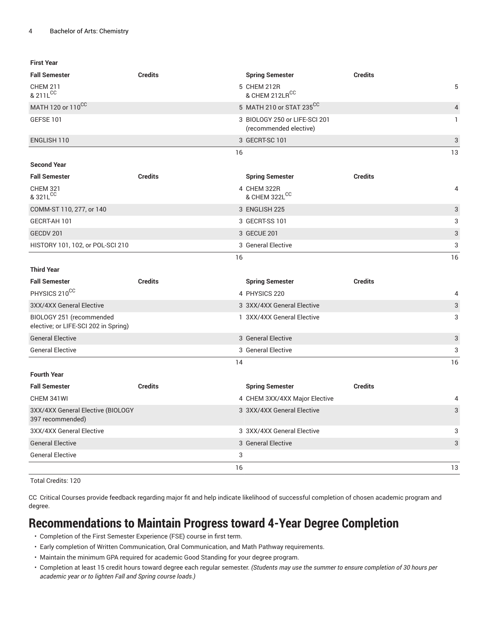| First Year                                                       |                |                                                         |                |   |
|------------------------------------------------------------------|----------------|---------------------------------------------------------|----------------|---|
| <b>Fall Semester</b>                                             | <b>Credits</b> | <b>Spring Semester</b>                                  | <b>Credits</b> |   |
| <b>CHEM 211</b><br>& 211L <sup>CC</sup>                          |                | 5 CHEM 212R<br>& CHEM 212LRCC                           | 5              |   |
| MATH 120 or 110 <sup>CC</sup>                                    |                | 5 MATH 210 or STAT 235CC                                | $\overline{4}$ |   |
| GEFSE 101                                                        |                | 3 BIOLOGY 250 or LIFE-SCI 201<br>(recommended elective) |                | 1 |
| ENGLISH 110                                                      |                | 3 GECRT-SC 101                                          | 3              |   |
|                                                                  | 16             |                                                         | 13             |   |
| <b>Second Year</b>                                               |                |                                                         |                |   |
| <b>Fall Semester</b>                                             | <b>Credits</b> | <b>Spring Semester</b>                                  | <b>Credits</b> |   |
| <b>CHEM 321</b><br>& 321L <sup>CC</sup>                          |                | 4 CHEM 322R<br>& CHEM 322LCC                            | 4              |   |
| COMM-ST 110, 277, or 140                                         |                | 3 ENGLISH 225                                           | 3              |   |
| GECRT-AH 101                                                     |                | 3 GECRT-SS 101                                          | 3              |   |
| GECDV 201                                                        |                | 3 GECUE 201                                             | 3              |   |
| HISTORY 101, 102, or POL-SCI 210                                 |                | 3 General Elective                                      | 3              |   |
| <b>Third Year</b>                                                | 16             |                                                         | 16             |   |
| <b>Fall Semester</b>                                             | <b>Credits</b> | <b>Spring Semester</b>                                  | <b>Credits</b> |   |
| PHYSICS 210 <sup>CC</sup>                                        |                | 4 PHYSICS 220                                           | 4              |   |
| 3XX/4XX General Elective                                         |                | 3 3XX/4XX General Elective                              | 3              |   |
| BIOLOGY 251 (recommended<br>elective; or LIFE-SCI 202 in Spring) |                | 1 3XX/4XX General Elective                              | 3              |   |
| <b>General Elective</b>                                          |                | 3 General Elective                                      | 3              |   |
| <b>General Elective</b>                                          |                | 3 General Elective                                      | 3              |   |
|                                                                  | 14             |                                                         | 16             |   |
| <b>Fourth Year</b>                                               |                |                                                         |                |   |
| <b>Fall Semester</b>                                             | <b>Credits</b> | <b>Spring Semester</b>                                  | <b>Credits</b> |   |
| CHEM 341WI                                                       |                | 4 CHEM 3XX/4XX Major Elective                           | 4              |   |
| 3XX/4XX General Elective (BIOLOGY<br>397 recommended)            |                | 3 3XX/4XX General Elective                              | 3              |   |
| 3XX/4XX General Elective                                         |                | 3 3XX/4XX General Elective                              | 3              |   |
| <b>General Elective</b>                                          |                | 3 General Elective                                      | 3              |   |
| <b>General Elective</b>                                          |                | 3                                                       |                |   |

Total Credits: 120

CC Critical Courses provide feedback regarding major fit and help indicate likelihood of successful completion of chosen academic program and degree.

 $16$  and  $13$ 

## **Recommendations to Maintain Progress toward 4-Year Degree Completion**

- Completion of the First Semester Experience (FSE) course in first term.
- Early completion of Written Communication, Oral Communication, and Math Pathway requirements.
- Maintain the minimum GPA required for academic Good Standing for your degree program.
- Completion at least 15 credit hours toward degree each regular semester. *(Students may use the summer to ensure completion of 30 hours per academic year or to lighten Fall and Spring course loads.)*